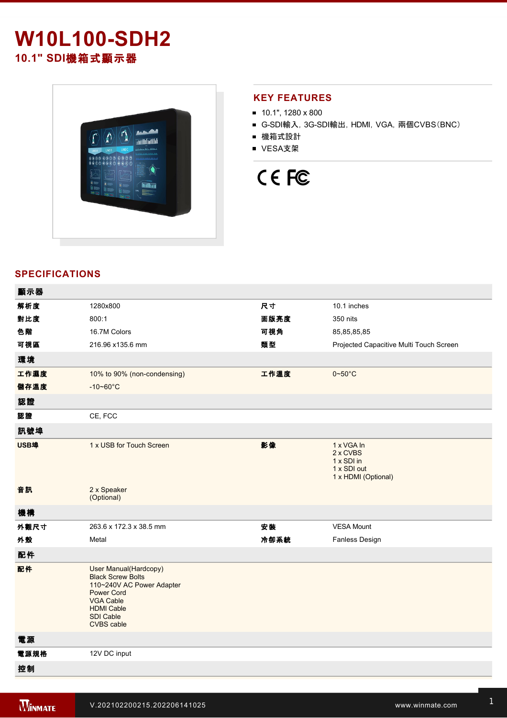# **W10L100-SDH2 10.1" SDI**機箱式顯示器



# **KEY FEATURES**

- 10.1", 1280 x 800
- G-SDI輸入, 3G-SDI輸出, HDMI, VGA, 兩個CVBS(BNC)
- 機箱式設計
- VESA支架

# CE FC

# **SPECIFICATIONS**

| 顯示器  |                                                                                                                                                                                       |      |                                                                            |
|------|---------------------------------------------------------------------------------------------------------------------------------------------------------------------------------------|------|----------------------------------------------------------------------------|
| 解析度  | 1280x800                                                                                                                                                                              | 尺寸   | 10.1 inches                                                                |
| 對比度  | 800:1                                                                                                                                                                                 | 面版亮度 | 350 nits                                                                   |
| 色階   | 16.7M Colors                                                                                                                                                                          | 可視角  | 85, 85, 85, 85                                                             |
| 可視區  | 216.96 x135.6 mm                                                                                                                                                                      | 類型   | Projected Capacitive Multi Touch Screen                                    |
| 環境   |                                                                                                                                                                                       |      |                                                                            |
| 工作濕度 | 10% to 90% (non-condensing)                                                                                                                                                           | 工作溫度 | $0 - 50$ °C                                                                |
| 儲存溫度 | $-10 - 60^{\circ}C$                                                                                                                                                                   |      |                                                                            |
| 認證   |                                                                                                                                                                                       |      |                                                                            |
| 認證   | CE, FCC                                                                                                                                                                               |      |                                                                            |
| 訊號埠  |                                                                                                                                                                                       |      |                                                                            |
| USB埠 | 1 x USB for Touch Screen                                                                                                                                                              | 影像   | 1 x VGA In<br>2 x CVBS<br>1 x SDI in<br>1 x SDI out<br>1 x HDMI (Optional) |
| 音訊   | 2 x Speaker<br>(Optional)                                                                                                                                                             |      |                                                                            |
| 機構   |                                                                                                                                                                                       |      |                                                                            |
| 外觀尺寸 | 263.6 x 172.3 x 38.5 mm                                                                                                                                                               | 安裝   | <b>VESA Mount</b>                                                          |
| 外殼   | Metal                                                                                                                                                                                 | 冷卻系統 | Fanless Design                                                             |
| 配件   |                                                                                                                                                                                       |      |                                                                            |
| 配件   | <b>User Manual(Hardcopy)</b><br><b>Black Screw Bolts</b><br>110~240V AC Power Adapter<br><b>Power Cord</b><br><b>VGA Cable</b><br><b>HDMI Cable</b><br>SDI Cable<br><b>CVBS</b> cable |      |                                                                            |
| 電源   |                                                                                                                                                                                       |      |                                                                            |
| 電源規格 | 12V DC input                                                                                                                                                                          |      |                                                                            |
| 控制   |                                                                                                                                                                                       |      |                                                                            |
|      |                                                                                                                                                                                       |      |                                                                            |